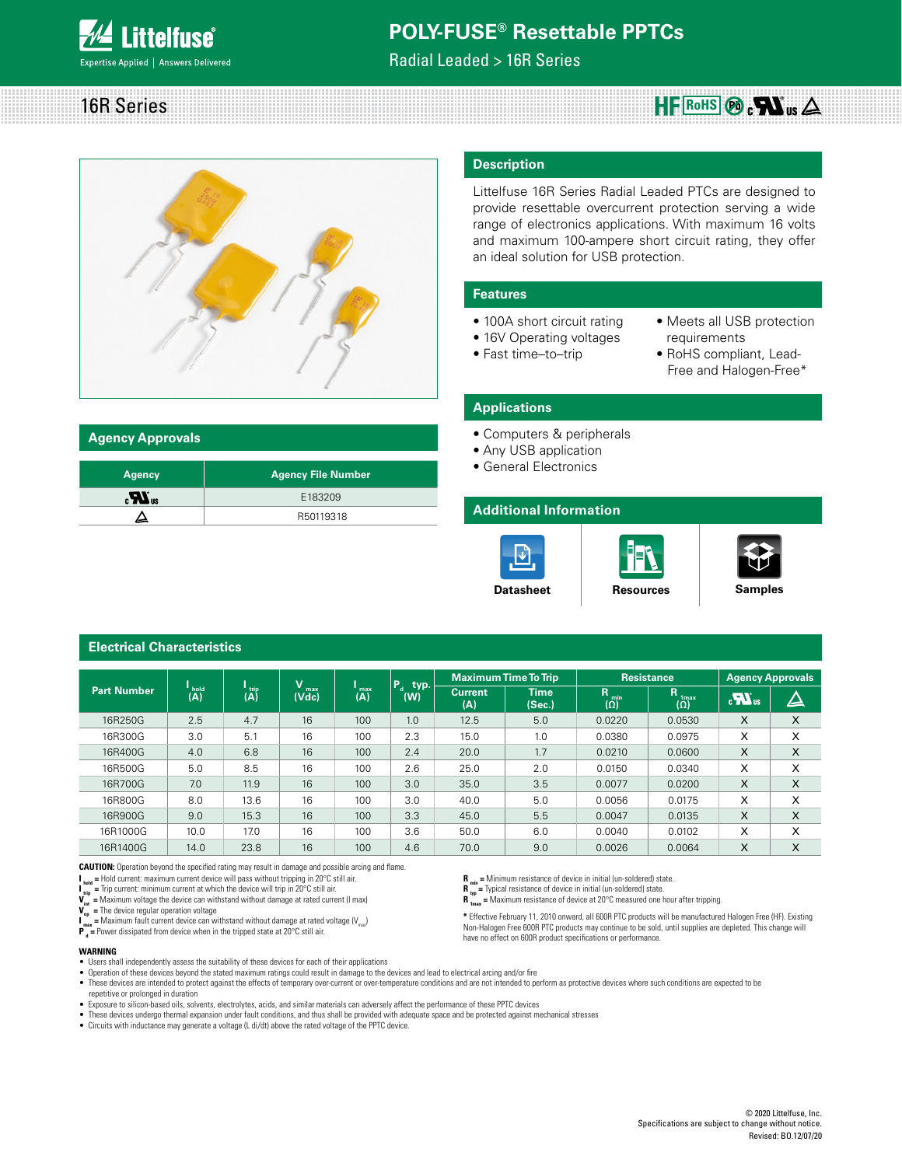

Radial Leaded > 16R Series





| <b>Agency Approvals</b> |  |  |  |  |  |  |  |  |
|-------------------------|--|--|--|--|--|--|--|--|

| <b>Agency</b> | <b>Agency File Number</b> |
|---------------|---------------------------|
| $_{c}M_{us}$  | E183209                   |
|               | R50119318                 |

### **Description**

Littelfuse 16R Series Radial Leaded PTCs are designed to provide resettable overcurrent protection serving a wide range of electronics applications. With maximum 16 volts and maximum 100-ampere short circuit rating, they offer an ideal solution for USB protection.

#### **Features**

- 100A short circuit rating
- 16V Operating voltages
- Fast time–to–trip
- Meets all USB protection requirements
- RoHS compliant, Lead- Free and Halogen-Free\*

#### **Applications**

- Computers & peripherals
- Any USB application
- General Electronics

### **Additional Information**

**R** min = Minimum resistance of device in initial (un-soldered) state.<br>**R** = Typical resistance of device in initial (un-soldered) state. **R** Typical resistance of device in initial (un-soldered) state. **R** <sup>1</sup><sup>t</sup>  $\text{max}$  = Maximum resistance of device at 20°C measured one hour after tripping.

have no effect on 600R product specifications or performance.







|                    |                                           |                       |                   |                  |                        |                       | <b>Maximum Time To Trip</b> |                         | <b>Resistance</b>                   | <b>Agency Approvals</b> |          |
|--------------------|-------------------------------------------|-----------------------|-------------------|------------------|------------------------|-----------------------|-----------------------------|-------------------------|-------------------------------------|-------------------------|----------|
| <b>Part Number</b> | $\overline{(\mathsf{A})}^{\mathsf{hold}}$ | $\overrightarrow{AB}$ | v<br>max<br>(Vdc) | $\binom{max}{A}$ | $P_{d}$<br>typ.<br>(W) | <b>Current</b><br>(A) | <b>Time</b><br>(Sec.)       | R.<br>min<br>$(\Omega)$ | R<br>1 <sub>max</sub><br>$(\Omega)$ | $\sum_{\alpha}$         | $\Delta$ |
| 16R250G            | 2.5                                       | 4.7                   | 16                | 100              | 1.0                    | 12.5                  | 5.0                         | 0.0220                  | 0.0530                              | X                       | X        |
| 16R300G            | 3.0                                       | 5.1                   | 16                | 100              | 2.3                    | 15.0                  | 1.0                         | 0.0380                  | 0.0975                              | X                       | X        |
| 16R400G            | 4.0                                       | 6.8                   | 16                | 100              | 2.4                    | 20.0                  | 1.7                         | 0.0210                  | 0.0600                              | X                       | X        |
| 16R500G            | 5.0                                       | 8.5                   | 16                | 100              | 2.6                    | 25.0                  | 2.0                         | 0.0150                  | 0.0340                              | X                       | X        |
| 16R700G            | 7.0                                       | 11.9                  | 16                | 100              | 3.0                    | 35.0                  | 3.5                         | 0.0077                  | 0.0200                              | X                       | X        |
| 16R800G            | 8.0                                       | 13.6                  | 16                | 100              | 3.0                    | 40.0                  | 5.0                         | 0.0056                  | 0.0175                              | X                       | X        |
| 16R900G            | 9.0                                       | 15.3                  | 16                | 100              | 3.3                    | 45.0                  | 5.5                         | 0.0047                  | 0.0135                              | X                       | X        |
| 16R1000G           | 10.0                                      | 17.0                  | 16                | 100              | 3.6                    | 50.0                  | 6.0                         | 0.0040                  | 0.0102                              | X                       | X        |
| 16R1400G           | 14.0                                      | 23.8                  | 16                | 100              | 4.6                    | 70.0                  | 9.0                         | 0.0026                  | 0.0064                              | X                       | X        |

**CAUTION:** Operation beyond the specified rating may result in damage and possible arcing and flame.<br>I<sub>bed</sub> = Hold current: maximum current device will pass without tripping in 20°C still air.

 $\|$ <sub>bald</sub> = Hold current: maximum current device will pass without tripping in 20°C still air.<br> $\|$ <sub>um</sub> = Trip current: minimum current at which the device will trip in 20°C still air.<br> $V_{\text{up}}$  = Maximum voltage the dev

**Electrical Characteristics**

**I**  $_{\text{max}}$  = Maximum fault current device can withstand without damage at rated voltage (V<sub>max</sub>)

**P**<sub>d</sub> = Power dissipated from device when in the tripped state at 20°C still air.

#### **WARNING**

• Users shall independently assess the suitability of these devices for each of their applications

• Operation of these devices beyond the stated maximum ratings could result in damage to the devices and lead to electrical arcing and/or fire

- These devices are intended to protect against the effects of temporary over-current or over-temperature conditions and are not intended to perform as protective devices where such conditions are expected to be repetitive or prolonged in duration
- 
- Exposure to silicon-based oils, solvents, electrolytes, acids, and similar materials can adversely affect the performance of these PPTC devices<br>● These devices undergo thermal expansion under fault conditions, and thus
- Circuits with inductance may generate a voltage (L di/dt) above the rated voltage of the PPTC device.

**\*** Effective February 11, 2010 onward, all 600R PTC products will be manufactured Halogen Free (HF). Existing Non-Halogen Free 600R PTC products may continue to be sold, until supplies are depleted. This change will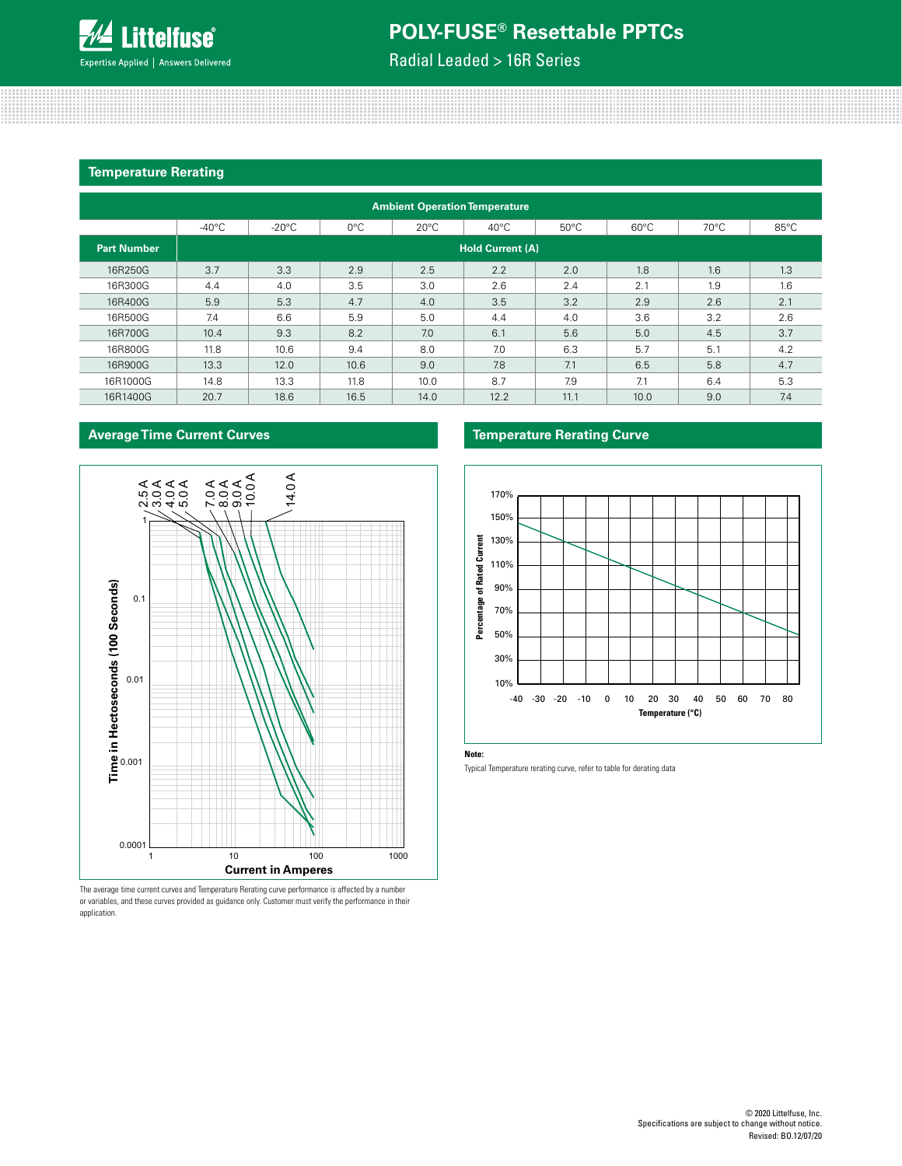

Radial Leaded > 16R Series

### **Temperature Rerating**

| <b>Ambient Operation Temperature</b> |                         |                 |               |                |                |                |                |                |                |  |
|--------------------------------------|-------------------------|-----------------|---------------|----------------|----------------|----------------|----------------|----------------|----------------|--|
|                                      | $-40^{\circ}$ C         | $-20^{\circ}$ C | $0^{\circ}$ C | $20^{\circ}$ C | $40^{\circ}$ C | $50^{\circ}$ C | $60^{\circ}$ C | $70^{\circ}$ C | $85^{\circ}$ C |  |
| <b>Part Number</b>                   | <b>Hold Current (A)</b> |                 |               |                |                |                |                |                |                |  |
| 16R250G                              | 3.7                     | 3.3             | 2.9           | 2.5            | 2.2            | 2.0            | 1.8            | 1.6            | 1.3            |  |
| 16R300G                              | 4.4                     | 4.0             | 3.5           | 3.0            | 2.6            | 2.4            | 2.1            | 1.9            | 1.6            |  |
| 16R400G                              | 5.9                     | 5.3             | 4.7           | 4.0            | 3.5            | 3.2            | 2.9            | 2.6            | 2.1            |  |
| 16R500G                              | 7.4                     | 6.6             | 5.9           | 5.0            | 4.4            | 4.0            | 3.6            | 3.2            | 2.6            |  |
| 16R700G                              | 10.4                    | 9.3             | 8.2           | 7.0            | 6.1            | 5.6            | 5.0            | 4.5            | 3.7            |  |
| 16R800G                              | 11.8                    | 10.6            | 9.4           | 8.0            | 7.0            | 6.3            | 5.7            | 5.1            | 4.2            |  |
| 16R900G                              | 13.3                    | 12.0            | 10.6          | 9.0            | 7.8            | 7.1            | 6.5            | 5.8            | 4.7            |  |
| 16R1000G                             | 14.8                    | 13.3            | 11.8          | 10.0           | 8.7            | 7.9            | 7.1            | 6.4            | 5.3            |  |
| 16R1400G                             | 20.7                    | 18.6            | 16.5          | 14.0           | 12.2           | 11.1           | 10.0           | 9.0            | 7.4            |  |



The average time current curves and Temperature Rerating curve performance is affected by a number or variables, and these curves provided as guidance only. Customer must verify the performance in their application.

#### **Average Time Current Curves Temperature Rerating Curve**



**Note:**

Typical Temperature rerating curve, refer to table for derating data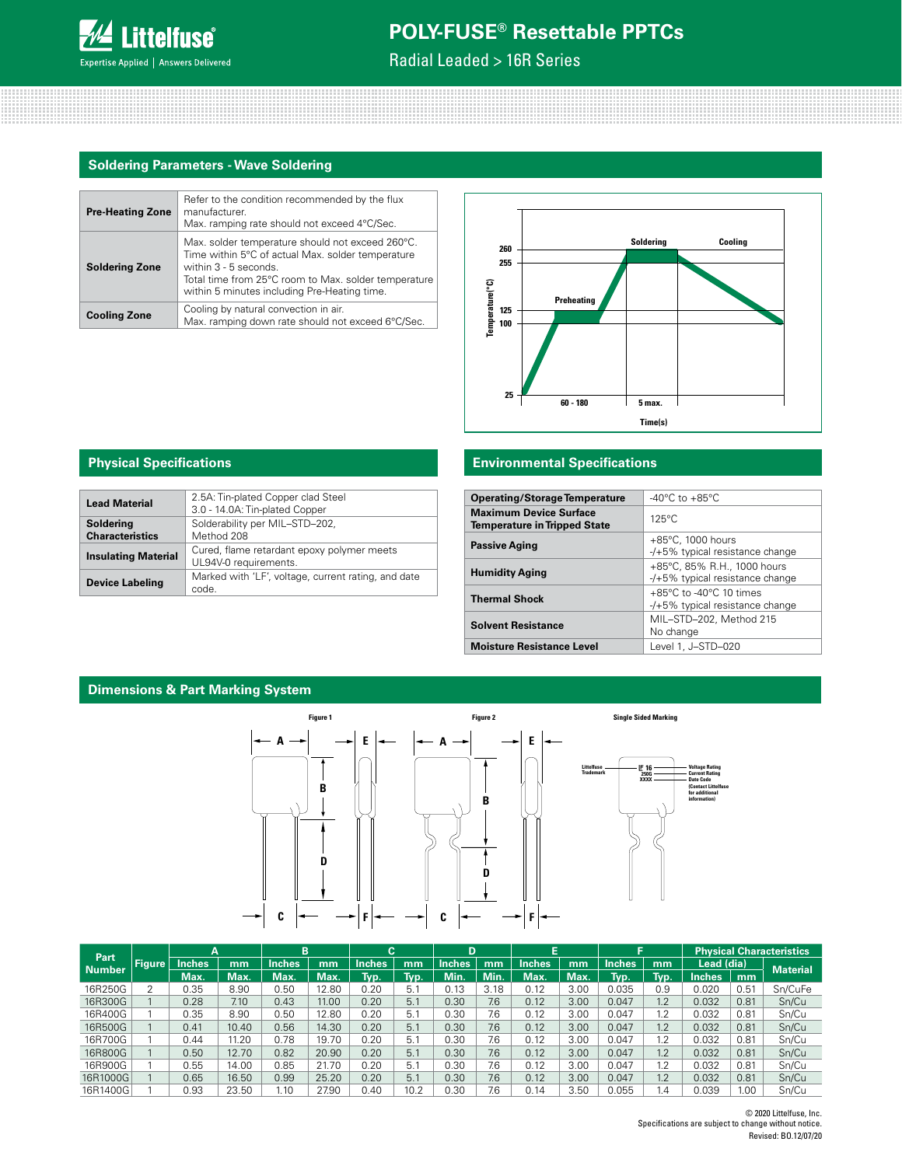

Radial Leaded > 16R Series

## **Soldering Parameters - Wave Soldering**

| <b>Pre-Heating Zone</b> | Refer to the condition recommended by the flux<br>manufacturer.<br>Max. ramping rate should not exceed 4°C/Sec.                                                                                                                          |
|-------------------------|------------------------------------------------------------------------------------------------------------------------------------------------------------------------------------------------------------------------------------------|
| <b>Soldering Zone</b>   | Max. solder temperature should not exceed 260°C.<br>Time within 5°C of actual Max. solder temperature<br>within $3 - 5$ seconds.<br>Total time from 25°C room to Max. solder temperature<br>within 5 minutes including Pre-Heating time. |
| <b>Cooling Zone</b>     | Cooling by natural convection in air.<br>Max. ramping down rate should not exceed 6°C/Sec.                                                                                                                                               |



| <b>Lead Material</b>                | 2.5A: Tin-plated Copper clad Steel<br>3.0 - 14.0A: Tin-plated Copper |
|-------------------------------------|----------------------------------------------------------------------|
| Soldering<br><b>Characteristics</b> | Solderability per MIL-STD-202,<br>Method 208                         |
| <b>Insulating Material</b>          | Cured, flame retardant epoxy polymer meets<br>UL94V-0 requirements.  |
| <b>Device Labeling</b>              | Marked with 'LF', voltage, current rating, and date<br>code.         |

## **Physical Specifications Environmental Specifications**

| <b>Operating/Storage Temperature</b>                                 | $-40^{\circ}$ C to $+85^{\circ}$ C                                              |
|----------------------------------------------------------------------|---------------------------------------------------------------------------------|
| <b>Maximum Device Surface</b><br><b>Temperature in Tripped State</b> | $125^{\circ}$ C                                                                 |
| <b>Passive Aging</b>                                                 | $+85^{\circ}$ C, 1000 hours<br>-/+5% typical resistance change                  |
| <b>Humidity Aging</b>                                                | +85°C, 85% R.H., 1000 hours<br>-/+5% typical resistance change                  |
| <b>Thermal Shock</b>                                                 | $+85^{\circ}$ C to -40 $^{\circ}$ C 10 times<br>-/+5% typical resistance change |
| <b>Solvent Resistance</b>                                            | MIL-STD-202, Method 215<br>No change                                            |
| <b>Moisture Resistance Level</b>                                     | Level 1, J-STD-020                                                              |

## **Dimensions & Part Marking System**



| Part          |               |               |       | B             |       | С             |      | D      |            | Е             |      |               |      |               |      | <b>Physical Characteristics</b> |
|---------------|---------------|---------------|-------|---------------|-------|---------------|------|--------|------------|---------------|------|---------------|------|---------------|------|---------------------------------|
| <b>Number</b> | <b>Figure</b> | <b>Inches</b> | mm    | <b>Inches</b> | mm    | <b>Inches</b> | mm   | Inches | mm         | <b>Inches</b> | mm   | <b>Inches</b> | mm   | Lead (dia)    |      | <b>Material</b>                 |
|               |               | Max.          | Max.  | Max.          | Max.  | Typ.          | Tvp. | Min.   | <b>Min</b> | Max.          | Max. | Tvp.          | Typ. | <b>Inches</b> | mm   |                                 |
| 16R250G       |               | 0.35          | 8.90  | 0.50          | 12.80 | 0.20          | 5.1  | 0.13   | 3.18       | 0.12          | 3.00 | 0.035         | 0.9  | 0.020         | 0.51 | Sn/CuFe                         |
| 16R300G       |               | 0.28          | 7.10  | 0.43          | 11.00 | 0.20          | 5.1  | 0.30   | 7.6        | 0.12          | 3.00 | 0.047         | 1.2  | 0.032         | 0.81 | Sn/Cu                           |
| 16R400G       |               | 0.35          | 8.90  | 0.50          | 12.80 | 0.20          | 5.1  | 0.30   | 7.6        | 0.12          | 3.00 | 0.047         | 1.2  | 0.032         | 0.81 | Sn/Cu                           |
| 16R500G       |               | 0.41          | 10.40 | 0.56          | 14.30 | 0.20          | 5.1  | 0.30   | 7.6        | 0.12          | 3.00 | 0.047         | 1.2  | 0.032         | 0.81 | Sn/Cu                           |
| 16R700G       |               | 0.44          | 11.20 | 0.78          | 19.70 | 0.20          | 5.1  | 0.30   | 7.6        | 0.12          | 3.00 | 0.047         | 1.2  | 0.032         | 0.81 | Sn/Cu                           |
| 16R800G       |               | 0.50          | 12.70 | 0.82          | 20.90 | 0.20          | 5.1  | 0.30   | 7.6        | 0.12          | 3.00 | 0.047         | 1.2  | 0.032         | 0.81 | Sn/Cu                           |
| 16R900G       |               | 0.55          | 14.00 | 0.85          | 21.70 | 0.20          | 5.1  | 0.30   | 7.6        | 0.12          | 3.00 | 0.047         | 1.2  | 0.032         | 0.81 | Sn/Cu                           |
| 16R1000G      |               | 0.65          | 16.50 | 0.99          | 25.20 | 0.20          | 5.1  | 0.30   | 7.6        | 0.12          | 3.00 | 0.047         | 1.2  | 0.032         | 0.81 | Sn/Cu                           |
| 16R1400G      |               | 0.93          | 23.50 | 1.10          | 27.90 | 0.40          | 10.2 | 0.30   | 7.6        | 0.14          | 3.50 | 0.055         | . 4  | 0.039         | 1.00 | Sn/Cu                           |

© 2020 Littelfuse, Inc. Specifications are subject to change without notice. Revised: BO.12/07/20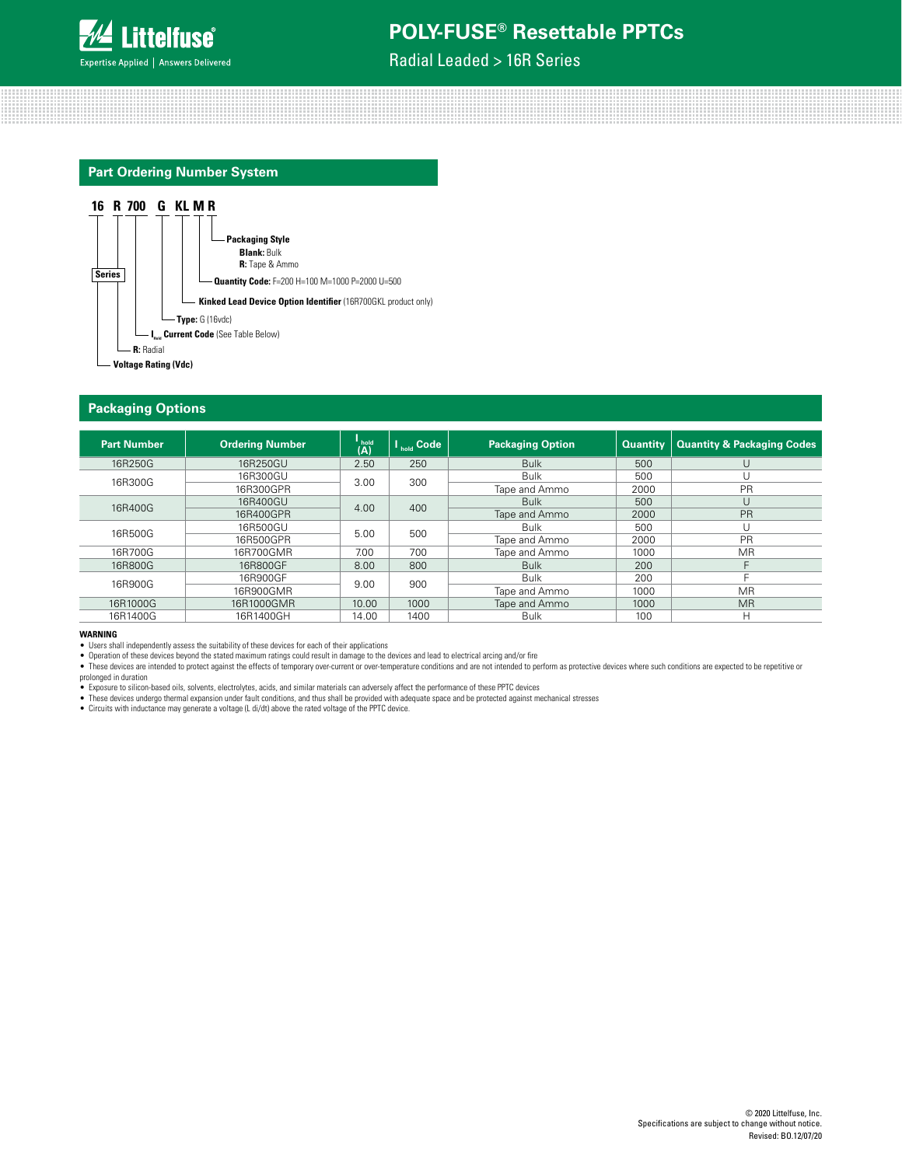

Radial Leaded > 16R Series

## **Part Ordering Number System**



#### **Packaging Options**

| <b>Part Number</b> | <b>Ordering Number</b> | (A)   | <b>V</b> <sub>hold</sub> Code | <b>Packaging Option</b> | <b>Quantity</b> | <b>Quantity &amp; Packaging Codes</b> |
|--------------------|------------------------|-------|-------------------------------|-------------------------|-----------------|---------------------------------------|
| 16R250G            | 16R250GU               | 2.50  | 250                           | <b>Bulk</b>             | 500             | U                                     |
| 16R300G            | 16R300GU               | 3.00  | 300                           | <b>Bulk</b>             | 500             |                                       |
|                    | 16R300GPR              |       |                               | Tape and Ammo           | 2000            | PR                                    |
| 16R400G            | 16R400GU               | 4.00  | 400                           | <b>Bulk</b>             | 500             |                                       |
|                    | 16R400GPR              |       |                               | Tape and Ammo           | 2000            | <b>PR</b>                             |
|                    | 16R500GU               |       |                               | <b>Bulk</b>             | 500             |                                       |
| 16R500G            | 16R500GPR              | 5.00  | 500                           | Tape and Ammo           | 2000            | <b>PR</b>                             |
| 16R700G            | 16R700GMR              | 7.00  | 700                           | Tape and Ammo           | 1000            | MR.                                   |
| 16R800G            | 16R800GF               | 8.00  | 800                           | <b>Bulk</b>             | 200             |                                       |
|                    | 16R900GF               |       |                               | <b>Bulk</b>             | 200             |                                       |
| 16R900G            | 16R900GMR              | 9.00  | 900                           | Tape and Ammo           | 1000            | <b>MR</b>                             |
| 16R1000G           | 16R1000GMR             | 10.00 | 1000                          | Tape and Ammo           | 1000            | <b>MR</b>                             |
| 16R1400G           | 16R1400GH              | 14.00 | 1400                          | <b>Bulk</b>             | 100             | н                                     |

#### **WARNING**

• Users shall independently assess the suitability of these devices for each of their applications

● Operation of these devices beyond the stated maximum ratings could result in damage to the devices and lead to electrical arcing and/or fire<br>● These devices are intended to protect against the effects of temporary overprolonged in duration

● Exposure to silicon-based oils, solvents, electrolytes, acids, and similar materials can adversely affect the performance of these PPTC devices<br>● These devices undergo thermal expansion under fault conditions, and thus

• Circuits with inductance may generate a voltage (L di/dt) above the rated voltage of the PPTC device.